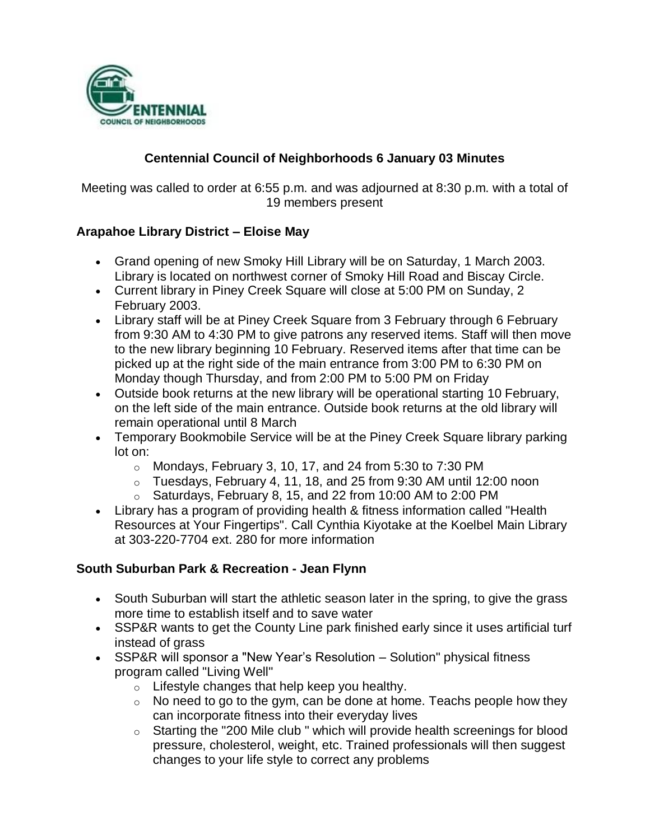

## **Centennial Council of Neighborhoods 6 January 03 Minutes**

Meeting was called to order at 6:55 p.m. and was adjourned at 8:30 p.m. with a total of 19 members present

## **Arapahoe Library District – Eloise May**

- Grand opening of new Smoky Hill Library will be on Saturday, 1 March 2003. Library is located on northwest corner of Smoky Hill Road and Biscay Circle.
- Current library in Piney Creek Square will close at 5:00 PM on Sunday, 2 February 2003.
- Library staff will be at Piney Creek Square from 3 February through 6 February from 9:30 AM to 4:30 PM to give patrons any reserved items. Staff will then move to the new library beginning 10 February. Reserved items after that time can be picked up at the right side of the main entrance from 3:00 PM to 6:30 PM on Monday though Thursday, and from 2:00 PM to 5:00 PM on Friday
- Outside book returns at the new library will be operational starting 10 February, on the left side of the main entrance. Outside book returns at the old library will remain operational until 8 March
- Temporary Bookmobile Service will be at the Piney Creek Square library parking lot on:
	- $\circ$  Mondays, February 3, 10, 17, and 24 from 5:30 to 7:30 PM
	- $\circ$  Tuesdays, February 4, 11, 18, and 25 from 9:30 AM until 12:00 noon
	- $\circ$  Saturdays, February 8, 15, and 22 from 10:00 AM to 2:00 PM
- Library has a program of providing health & fitness information called "Health Resources at Your Fingertips". Call Cynthia Kiyotake at the Koelbel Main Library at 303-220-7704 ext. 280 for more information

## **South Suburban Park & Recreation - Jean Flynn**

- South Suburban will start the athletic season later in the spring, to give the grass more time to establish itself and to save water
- SSP&R wants to get the County Line park finished early since it uses artificial turf instead of grass
- SSP&R will sponsor a "New Year's Resolution Solution" physical fitness program called "Living Well"
	- $\circ$  Lifestyle changes that help keep you healthy.
	- $\circ$  No need to go to the gym, can be done at home. Teachs people how they can incorporate fitness into their everyday lives
	- $\circ$  Starting the "200 Mile club " which will provide health screenings for blood pressure, cholesterol, weight, etc. Trained professionals will then suggest changes to your life style to correct any problems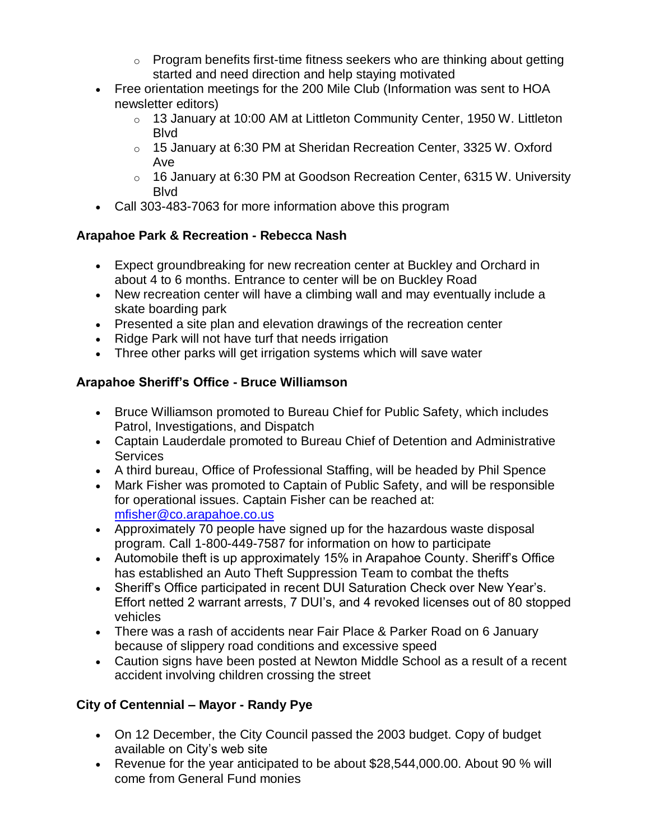- $\circ$  Program benefits first-time fitness seekers who are thinking about getting started and need direction and help staying motivated
- Free orientation meetings for the 200 Mile Club (Information was sent to HOA newsletter editors)
	- $\circ$  13 January at 10:00 AM at Littleton Community Center, 1950 W. Littleton Blvd
	- $\circ$  15 January at 6:30 PM at Sheridan Recreation Center, 3325 W. Oxford Ave
	- $\circ$  16 January at 6:30 PM at Goodson Recreation Center, 6315 W. University Blvd
- Call 303-483-7063 for more information above this program

# **Arapahoe Park & Recreation - Rebecca Nash**

- Expect groundbreaking for new recreation center at Buckley and Orchard in about 4 to 6 months. Entrance to center will be on Buckley Road
- New recreation center will have a climbing wall and may eventually include a skate boarding park
- Presented a site plan and elevation drawings of the recreation center
- Ridge Park will not have turf that needs irrigation
- Three other parks will get irrigation systems which will save water

# **Arapahoe Sheriff's Office - Bruce Williamson**

- Bruce Williamson promoted to Bureau Chief for Public Safety, which includes Patrol, Investigations, and Dispatch
- Captain Lauderdale promoted to Bureau Chief of Detention and Administrative **Services**
- A third bureau, Office of Professional Staffing, will be headed by Phil Spence
- Mark Fisher was promoted to Captain of Public Safety, and will be responsible for operational issues. Captain Fisher can be reached at: [mfisher@co.arapahoe.co.us](mailto:mfisher@co.arapahoe.co.us)
- Approximately 70 people have signed up for the hazardous waste disposal program. Call 1-800-449-7587 for information on how to participate
- Automobile theft is up approximately 15% in Arapahoe County. Sheriff's Office has established an Auto Theft Suppression Team to combat the thefts
- Sheriff's Office participated in recent DUI Saturation Check over New Year's. Effort netted 2 warrant arrests, 7 DUI's, and 4 revoked licenses out of 80 stopped vehicles
- There was a rash of accidents near Fair Place & Parker Road on 6 January because of slippery road conditions and excessive speed
- Caution signs have been posted at Newton Middle School as a result of a recent accident involving children crossing the street

# **City of Centennial – Mayor - Randy Pye**

- On 12 December, the City Council passed the 2003 budget. Copy of budget available on City's web site
- Revenue for the year anticipated to be about \$28,544,000.00. About 90 % will come from General Fund monies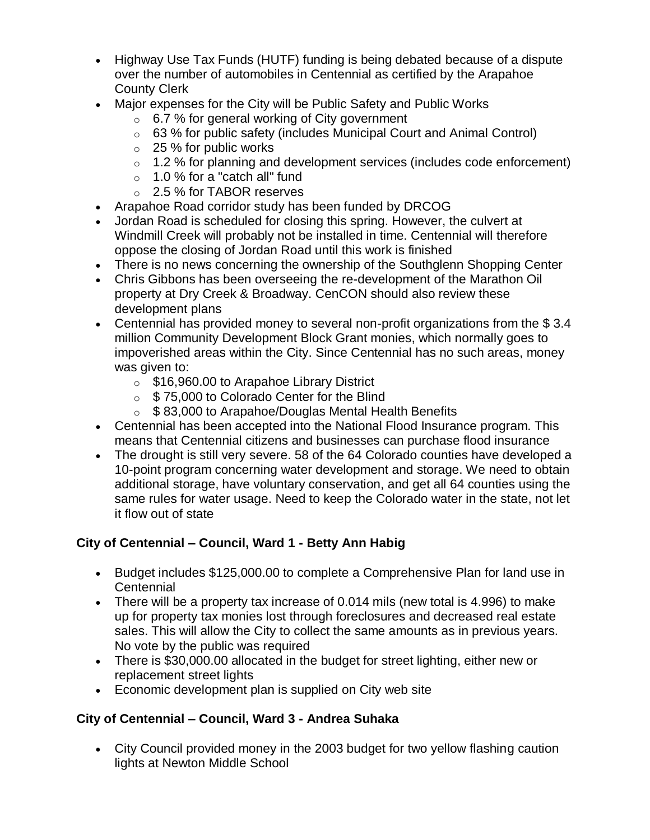- Highway Use Tax Funds (HUTF) funding is being debated because of a dispute over the number of automobiles in Centennial as certified by the Arapahoe County Clerk
- Major expenses for the City will be Public Safety and Public Works
	- $\circ$  6.7 % for general working of City government
	- $\circ$  63 % for public safety (includes Municipal Court and Animal Control)
	- $\circ$  25 % for public works
	- $\circ$  1.2 % for planning and development services (includes code enforcement)
	- $\circ$  1.0 % for a "catch all" fund
	- o 2.5 % for TABOR reserves
- Arapahoe Road corridor study has been funded by DRCOG
- Jordan Road is scheduled for closing this spring. However, the culvert at Windmill Creek will probably not be installed in time. Centennial will therefore oppose the closing of Jordan Road until this work is finished
- There is no news concerning the ownership of the Southglenn Shopping Center
- Chris Gibbons has been overseeing the re-development of the Marathon Oil property at Dry Creek & Broadway. CenCON should also review these development plans
- Centennial has provided money to several non-profit organizations from the \$ 3.4 million Community Development Block Grant monies, which normally goes to impoverished areas within the City. Since Centennial has no such areas, money was given to:
	- o \$16,960.00 to Arapahoe Library District
	- o \$ 75,000 to Colorado Center for the Blind
	- \$ 83,000 to Arapahoe/Douglas Mental Health Benefits
- Centennial has been accepted into the National Flood Insurance program. This means that Centennial citizens and businesses can purchase flood insurance
- The drought is still very severe. 58 of the 64 Colorado counties have developed a 10-point program concerning water development and storage. We need to obtain additional storage, have voluntary conservation, and get all 64 counties using the same rules for water usage. Need to keep the Colorado water in the state, not let it flow out of state

## **City of Centennial – Council, Ward 1 - Betty Ann Habig**

- Budget includes \$125,000.00 to complete a Comprehensive Plan for land use in **Centennial**
- There will be a property tax increase of 0.014 mils (new total is 4.996) to make up for property tax monies lost through foreclosures and decreased real estate sales. This will allow the City to collect the same amounts as in previous years. No vote by the public was required
- There is \$30,000.00 allocated in the budget for street lighting, either new or replacement street lights
- Economic development plan is supplied on City web site

## **City of Centennial – Council, Ward 3 - Andrea Suhaka**

 City Council provided money in the 2003 budget for two yellow flashing caution lights at Newton Middle School